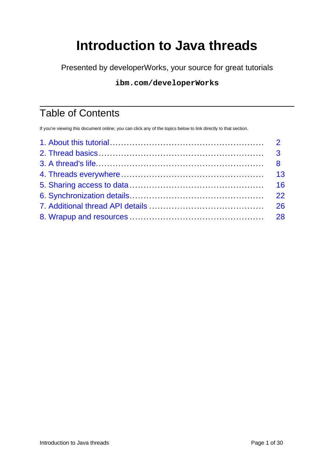# **Introduction to Java threads**

Presented by developerWorks, your source for great tutorials

#### **ibm.com/developerWorks**

## Table of Contents

If you're viewing this document online, you can click any of the topics below to link directly to that section.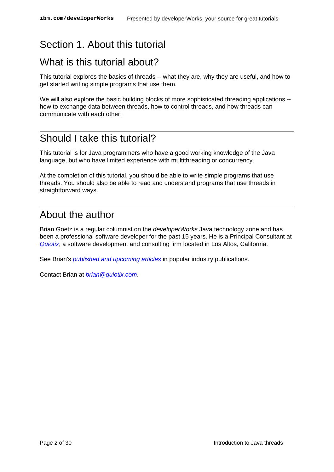## <span id="page-1-0"></span>Section 1. About this tutorial

## What is this tutorial about?

This tutorial explores the basics of threads -- what they are, why they are useful, and how to get started writing simple programs that use them.

We will also explore the basic building blocks of more sophisticated threading applications -how to exchange data between threads, how to control threads, and how threads can communicate with each other.

### Should I take this tutorial?

This tutorial is for Java programmers who have a good working knowledge of the Java language, but who have limited experience with multithreading or concurrency.

At the completion of this tutorial, you should be able to write simple programs that use threads. You should also be able to read and understand programs that use threads in straightforward ways.

## About the author

Brian Goetz is a regular columnist on the *developerWorks* Java technology zone and has been a professional software developer for the past 15 years. He is a Principal Consultant at [Quiotix](http://www.quiotix.com), a software development and consulting firm located in Los Altos, California.

See Brian's *[published and upcoming articles](http://www.quiotix.com/~brian/pubs.html)* in popular industry publications.

Contact Brian at [brian@quiotix.com](mailto:brian@quiotix.com)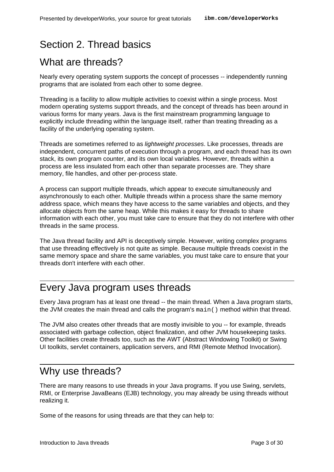## <span id="page-2-0"></span>Section 2. Thread basics

## What are threads?

Nearly every operating system supports the concept of processes -- independently running programs that are isolated from each other to some degree.

Threading is a facility to allow multiple activities to coexist within a single process. Most modern operating systems support threads, and the concept of threads has been around in various forms for many years. Java is the first mainstream programming language to explicitly include threading within the language itself, rather than treating threading as a facility of the underlying operating system.

Threads are sometimes referred to as lightweight processes. Like processes, threads are independent, concurrent paths of execution through a program, and each thread has its own stack, its own program counter, and its own local variables. However, threads within a process are less insulated from each other than separate processes are. They share memory, file handles, and other per-process state.

A process can support multiple threads, which appear to execute simultaneously and asynchronously to each other. Multiple threads within a process share the same memory address space, which means they have access to the same variables and objects, and they allocate objects from the same heap. While this makes it easy for threads to share information with each other, you must take care to ensure that they do not interfere with other threads in the same process.

The Java thread facility and API is deceptively simple. However, writing complex programs that use threading effectively is not quite as simple. Because multiple threads coexist in the same memory space and share the same variables, you must take care to ensure that your threads don't interfere with each other.

### Every Java program uses threads

Every Java program has at least one thread -- the main thread. When a Java program starts, the JVM creates the main thread and calls the program's main() method within that thread.

The JVM also creates other threads that are mostly invisible to you -- for example, threads associated with garbage collection, object finalization, and other JVM housekeeping tasks. Other facilities create threads too, such as the AWT (Abstract Windowing Toolkit) or Swing UI toolkits, servlet containers, application servers, and RMI (Remote Method Invocation).

### Why use threads?

There are many reasons to use threads in your Java programs. If you use Swing, servlets, RMI, or Enterprise JavaBeans (EJB) technology, you may already be using threads without realizing it.

Some of the reasons for using threads are that they can help to: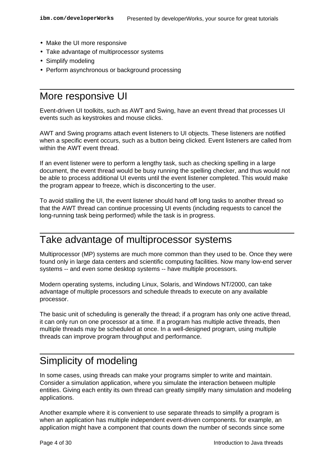- Make the UI more responsive
- Take advantage of multiprocessor systems
- Simplify modeling
- Perform asynchronous or background processing

### More responsive UI

Event-driven UI toolkits, such as AWT and Swing, have an event thread that processes UI events such as keystrokes and mouse clicks.

AWT and Swing programs attach event listeners to UI objects. These listeners are notified when a specific event occurs, such as a button being clicked. Event listeners are called from within the AWT event thread.

If an event listener were to perform a lengthy task, such as checking spelling in a large document, the event thread would be busy running the spelling checker, and thus would not be able to process additional UI events until the event listener completed. This would make the program appear to freeze, which is disconcerting to the user.

To avoid stalling the UI, the event listener should hand off long tasks to another thread so that the AWT thread can continue processing UI events (including requests to cancel the long-running task being performed) while the task is in progress.

#### Take advantage of multiprocessor systems

Multiprocessor (MP) systems are much more common than they used to be. Once they were found only in large data centers and scientific computing facilities. Now many low-end server systems -- and even some desktop systems -- have multiple processors.

Modern operating systems, including Linux, Solaris, and Windows NT/2000, can take advantage of multiple processors and schedule threads to execute on any available processor.

The basic unit of scheduling is generally the thread; if a program has only one active thread, it can only run on one processor at a time. If a program has multiple active threads, then multiple threads may be scheduled at once. In a well-designed program, using multiple threads can improve program throughput and performance.

## Simplicity of modeling

In some cases, using threads can make your programs simpler to write and maintain. Consider a simulation application, where you simulate the interaction between multiple entities. Giving each entity its own thread can greatly simplify many simulation and modeling applications.

Another example where it is convenient to use separate threads to simplify a program is when an application has multiple independent event-driven components. for example, an application might have a component that counts down the number of seconds since some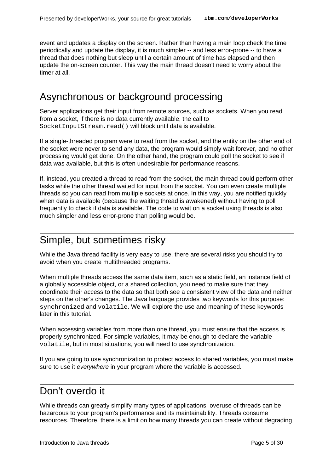event and updates a display on the screen. Rather than having a main loop check the time periodically and update the display, it is much simpler -- and less error-prone -- to have a thread that does nothing but sleep until a certain amount of time has elapsed and then update the on-screen counter. This way the main thread doesn't need to worry about the timer at all.

## Asynchronous or background processing

Server applications get their input from remote sources, such as sockets. When you read from a socket, if there is no data currently available, the call to SocketInputStream.read() will block until data is available.

If a single-threaded program were to read from the socket, and the entity on the other end of the socket were never to send any data, the program would simply wait forever, and no other processing would get done. On the other hand, the program could poll the socket to see if data was available, but this is often undesirable for performance reasons.

If, instead, you created a thread to read from the socket, the main thread could perform other tasks while the other thread waited for input from the socket. You can even create multiple threads so you can read from multiple sockets at once. In this way, you are notified quickly when data is available (because the waiting thread is awakened) without having to poll frequently to check if data is available. The code to wait on a socket using threads is also much simpler and less error-prone than polling would be.

#### Simple, but sometimes risky

While the Java thread facility is very easy to use, there are several risks you should try to avoid when you create multithreaded programs.

When multiple threads access the same data item, such as a static field, an instance field of a globally accessible object, or a shared collection, you need to make sure that they coordinate their access to the data so that both see a consistent view of the data and neither steps on the other's changes. The Java language provides two keywords for this purpose: synchronized and volatile. We will explore the use and meaning of these keywords later in this tutorial.

When accessing variables from more than one thread, you must ensure that the access is properly synchronized. For simple variables, it may be enough to declare the variable volatile, but in most situations, you will need to use synchronization.

If you are going to use synchronization to protect access to shared variables, you must make sure to use it everywhere in your program where the variable is accessed.

#### Don't overdo it

While threads can greatly simplify many types of applications, overuse of threads can be hazardous to your program's performance and its maintainability. Threads consume resources. Therefore, there is a limit on how many threads you can create without degrading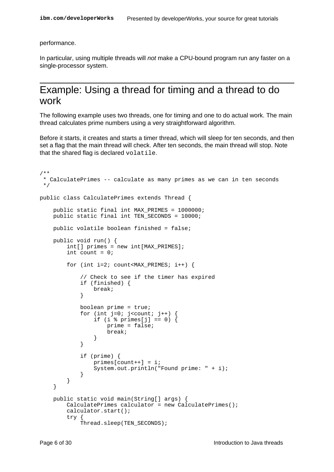performance.

In particular, using multiple threads will not make a CPU-bound program run any faster on a single-processor system.

#### Example: Using a thread for timing and a thread to do work

The following example uses two threads, one for timing and one to do actual work. The main thread calculates prime numbers using a very straightforward algorithm.

Before it starts, it creates and starts a timer thread, which will sleep for ten seconds, and then set a flag that the main thread will check. After ten seconds, the main thread will stop. Note that the shared flag is declared volatile.

```
/**
 * CalculatePrimes -- calculate as many primes as we can in ten seconds
 */
public class CalculatePrimes extends Thread {
    public static final int MAX_PRIMES = 1000000;
    public static final int TEN_SECONDS = 10000;
    public volatile boolean finished = false;
    public void run() {
        int[] primes = new int[MAX_PRIMES];
        int count = 0;
        for (int i=2; count<MAX PRIMES; i++) {
            // Check to see if the timer has expired
            if (finished) {
                break;
            }
            boolean prime = true;
            for (int j=0; j<count; j++) {
                if (i \text{\$primes}[j] == 0) {
                    prime = false;
                    break;
                }
            }
            if (prime) {
                primes[count++] = i;System.out.println("Found prime: " + i);
            }
        }
    }
    public static void main(String[] args) {
        CalculatePrimes calculator = new CalculatePrimes();
        calculator.start();
        try {
            Thread.sleep(TEN_SECONDS);
```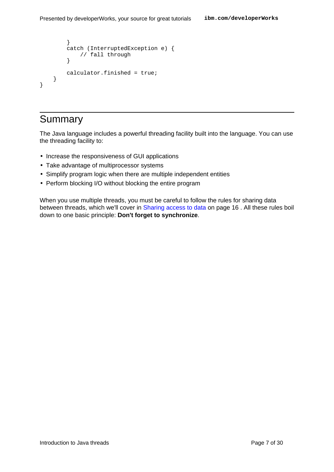```
}
        catch (InterruptedException e) {
           // fall through
        }
        calculator.finished = true;
    }
}
```
## Summary

The Java language includes a powerful threading facility built into the language. You can use the threading facility to:

- Increase the responsiveness of GUI applications
- Take advantage of multiprocessor systems
- Simplify program logic when there are multiple independent entities
- Perform blocking I/O without blocking the entire program

When you use multiple threads, you must be careful to follow the rules for sharing data between threads, which we'll cover in [Sharing access to data](#page-15-0) on page 16 . All these rules boil down to one basic principle: **Don't forget to synchronize**.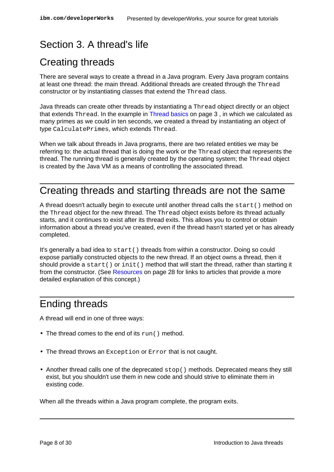## <span id="page-7-0"></span>Section 3. A thread's life

## Creating threads

There are several ways to create a thread in a Java program. Every Java program contains at least one thread: the main thread. Additional threads are created through the Thread constructor or by instantiating classes that extend the Thread class.

Java threads can create other threads by instantiating a Thread object directly or an object that extends Thread. In the example in [Thread basics](#page-2-0) on page 3 , in which we calculated as many primes as we could in ten seconds, we created a thread by instantiating an object of type CalculatePrimes, which extends Thread.

When we talk about threads in Java programs, there are two related entities we may be referring to: the actual thread that is doing the work or the Thread object that represents the thread. The running thread is generally created by the operating system; the Thread object is created by the Java VM as a means of controlling the associated thread.

## Creating threads and starting threads are not the same

A thread doesn't actually begin to execute until another thread calls the start() method on the Thread object for the new thread. The Thread object exists before its thread actually starts, and it continues to exist after its thread exits. This allows you to control or obtain information about a thread you've created, even if the thread hasn't started yet or has already completed.

It's generally a bad idea to  $start()$  threads from within a constructor. Doing so could expose partially constructed objects to the new thread. If an object owns a thread, then it should provide a start() or init() method that will start the thread, rather than starting it from the constructor. (See [Resources](#page-27-1) on page 28 for links to articles that provide a more detailed explanation of this concept.)

## Ending threads

A thread will end in one of three ways:

- The thread comes to the end of its run() method.
- The thread throws an Exception or Error that is not caught.
- Another thread calls one of the deprecated stop() methods. Deprecated means they still exist, but you shouldn't use them in new code and should strive to eliminate them in existing code.

When all the threads within a Java program complete, the program exits.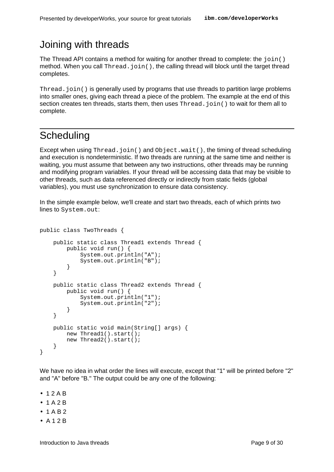## Joining with threads

The Thread API contains a method for waiting for another thread to complete: the  $\text{join}()$ method. When you call  $Thread.join()$ , the calling thread will block until the target thread completes.

Thread.  $join()$  is generally used by programs that use threads to partition large problems into smaller ones, giving each thread a piece of the problem. The example at the end of this section creates ten threads, starts them, then uses  $Thread$ ,  $join()$  to wait for them all to complete.

## **Scheduling**

Except when using  $Thread.join()$  and  $Object.wait()$ , the timing of thread scheduling and execution is nondeterministic. If two threads are running at the same time and neither is waiting, you must assume that between any two instructions, other threads may be running and modifying program variables. If your thread will be accessing data that may be visible to other threads, such as data referenced directly or indirectly from static fields (global variables), you must use synchronization to ensure data consistency.

In the simple example below, we'll create and start two threads, each of which prints two lines to System.out:

```
public class TwoThreads {
    public static class Thread1 extends Thread {
        public void run() {
            System.out.println("A");
            System.out.println("B");
        }
    }
    public static class Thread2 extends Thread {
        public void run() {
            System.out.println("1");
            System.out.println("2");
        }
    }
    public static void main(String[] args) {
        new Thread1().start();
        new Thread2().start();
    }
}
```
We have no idea in what order the lines will execute, except that "1" will be printed before "2" and "A" before "B." The output could be any one of the following:

- $12AB$
- $1 A 2 B$
- $1 AB2$
- A 1 2 B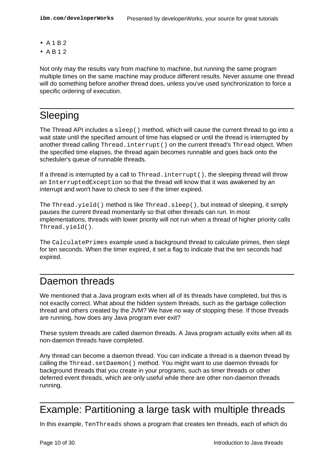- $A 1 B 2$
- A B 1 2

Not only may the results vary from machine to machine, but running the same program multiple times on the same machine may produce different results. Never assume one thread will do something before another thread does, unless you've used synchronization to force a specific ordering of execution.

### Sleeping

The Thread API includes a  $sleep()$  method, which will cause the current thread to go into a wait state until the specified amount of time has elapsed or until the thread is interrupted by another thread calling Thread.interrupt() on the current thread's Thread object. When the specified time elapses, the thread again becomes runnable and goes back onto the scheduler's queue of runnable threads.

If a thread is interrupted by a call to Thread.interrupt(), the sleeping thread will throw an InterruptedException so that the thread will know that it was awakened by an interrupt and won't have to check to see if the timer expired.

The Thread.yield() method is like Thread.sleep(), but instead of sleeping, it simply pauses the current thread momentarily so that other threads can run. In most implementations, threads with lower priority will not run when a thread of higher priority calls Thread.yield().

The CalculatePrimes example used a background thread to calculate primes, then slept for ten seconds. When the timer expired, it set a flag to indicate that the ten seconds had expired.

#### Daemon threads

We mentioned that a Java program exits when all of its threads have completed, but this is not exactly correct. What about the hidden system threads, such as the garbage collection thread and others created by the JVM? We have no way of stopping these. If those threads are running, how does any Java program ever exit?

These system threads are called *daemon* threads. A Java program actually exits when all its non-daemon threads have completed.

Any thread can become a daemon thread. You can indicate a thread is a daemon thread by calling the Thread.setDaemon() method. You might want to use daemon threads for background threads that you create in your programs, such as timer threads or other deferred event threads, which are only useful while there are other non-daemon threads running.

## Example: Partitioning a large task with multiple threads

In this example, TenThreads shows a program that creates ten threads, each of which do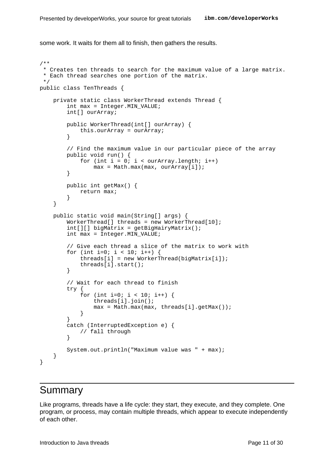some work. It waits for them all to finish, then gathers the results.

```
/**
 * Creates ten threads to search for the maximum value of a large matrix.
 * Each thread searches one portion of the matrix.
 */
public class TenThreads {
    private static class WorkerThread extends Thread {
        int max = Integer.MIN_VALUE;
        int[] ourArray;
        public WorkerThread(int[] ourArray) {
            this.ourArray = ourArray;
        }
        // Find the maximum value in our particular piece of the array
        public void run() {
            for (int i = 0; i < ourArray.length; i++)max = Math.max(max, ourArray[i]);
        }
        public int getMax() {
            return max;
        }
    }
    public static void main(String[] args) {
        WorkerThread[] threads = new WorkerThread[10];
        int[][] bigMatrix = getBigHairyMatrix();
        int max = Integer. MIN VALUE;
        // Give each thread a slice of the matrix to work with
        for (int i=0; i < 10; i++) {
            threads[i] = new WorkerThread(bigMatrix[i]);
            threads[i].start();
        }
        // Wait for each thread to finish
        try {
            for (int i=0; i < 10; i++) {
                threads[i].join();
                max = Math.max(max, threads[i].getMax());
            }
        }
        catch (InterruptedException e) {
            // fall through
        }
        System.out.println("Maximum value was " + max);
    }
}
```
#### Summary

Like programs, threads have a life cycle: they start, they execute, and they complete. One program, or process, may contain multiple threads, which appear to execute independently of each other.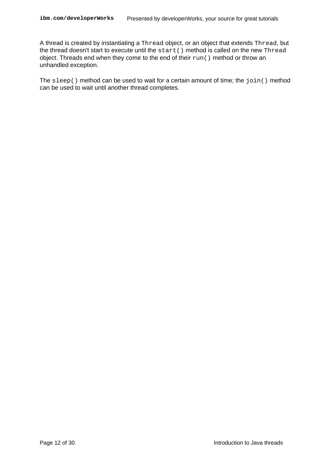A thread is created by instantiating a Thread object, or an object that extends Thread, but the thread doesn't start to execute until the start() method is called on the new Thread object. Threads end when they come to the end of their run() method or throw an unhandled exception.

The sleep() method can be used to wait for a certain amount of time; the join() method can be used to wait until another thread completes.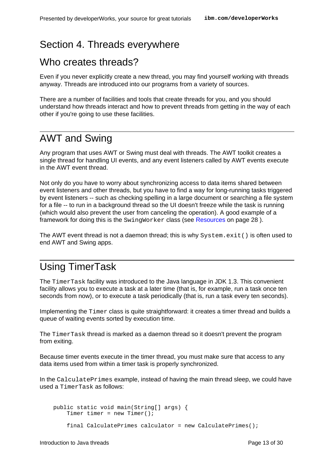## <span id="page-12-0"></span>Section 4. Threads everywhere

### Who creates threads?

Even if you never explicitly create a new thread, you may find yourself working with threads anyway. Threads are introduced into our programs from a variety of sources.

There are a number of facilities and tools that create threads for you, and you should understand how threads interact and how to prevent threads from getting in the way of each other if you're going to use these facilities.

### AWT and Swing

Any program that uses AWT or Swing must deal with threads. The AWT toolkit creates a single thread for handling UI events, and any event listeners called by AWT events execute in the AWT event thread.

Not only do you have to worry about synchronizing access to data items shared between event listeners and other threads, but you have to find a way for long-running tasks triggered by event listeners -- such as checking spelling in a large document or searching a file system for a file -- to run in a background thread so the UI doesn't freeze while the task is running (which would also prevent the user from canceling the operation). A good example of a framework for doing this is the SwingWorker class (see [Resources](#page-27-1) on page 28 ).

The AWT event thread is not a daemon thread; this is why  $System.exit()$  is often used to end AWT and Swing apps.

## Using TimerTask

The TimerTask facility was introduced to the Java language in JDK 1.3. This convenient facility allows you to execute a task at a later time (that is, for example, run a task once ten seconds from now), or to execute a task periodically (that is, run a task every ten seconds).

Implementing the Timer class is quite straightforward: it creates a timer thread and builds a queue of waiting events sorted by execution time.

The TimerTask thread is marked as a daemon thread so it doesn't prevent the program from exiting.

Because timer events execute in the timer thread, you must make sure that access to any data items used from within a timer task is properly synchronized.

In the CalculatePrimes example, instead of having the main thread sleep, we could have used a TimerTask as follows:

public static void main(String[] args) { Timer timer = new Timer(); final CalculatePrimes calculator = new CalculatePrimes();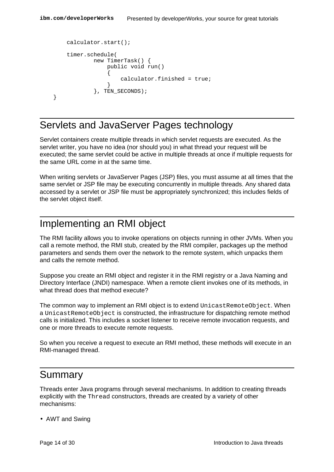```
calculator.start();
    timer.schedule(
            new TimerTask() {
                public void run()
                 {
                     calculator.finished = true;
                 }
            }, TEN_SECONDS);
}
```
## Servlets and JavaServer Pages technology

Servlet containers create multiple threads in which servlet requests are executed. As the servlet writer, you have no idea (nor should you) in what thread your request will be executed; the same servlet could be active in multiple threads at once if multiple requests for the same URL come in at the same time.

When writing servlets or JavaServer Pages (JSP) files, you must assume at all times that the same servlet or JSP file may be executing concurrently in multiple threads. Any shared data accessed by a servlet or JSP file must be appropriately synchronized; this includes fields of the servlet object itself.

#### Implementing an RMI object

The RMI facility allows you to invoke operations on objects running in other JVMs. When you call a remote method, the RMI stub, created by the RMI compiler, packages up the method parameters and sends them over the network to the remote system, which unpacks them and calls the remote method.

Suppose you create an RMI object and register it in the RMI registry or a Java Naming and Directory Interface (JNDI) namespace. When a remote client invokes one of its methods, in what thread does that method execute?

The common way to implement an RMI object is to extend UnicastRemoteObject. When a UnicastRemoteObject is constructed, the infrastructure for dispatching remote method calls is initialized. This includes a socket listener to receive remote invocation requests, and one or more threads to execute remote requests.

So when you receive a request to execute an RMI method, these methods will execute in an RMI-managed thread.

## Summary

Threads enter Java programs through several mechanisms. In addition to creating threads explicitly with the Thread constructors, threads are created by a variety of other mechanisms:

• AWT and Swing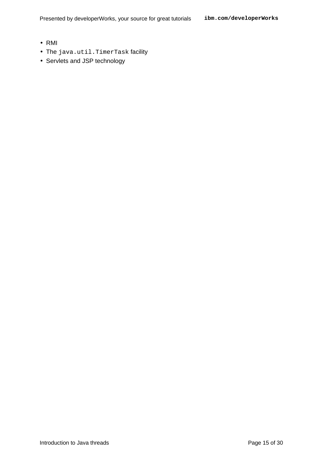Presented by developerWorks, your source for great tutorials **ibm.com/developerWorks**

- RMI
- The java.util.TimerTask facility
- Servlets and JSP technology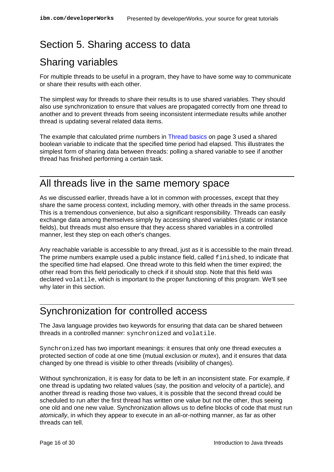## <span id="page-15-0"></span>Section 5. Sharing access to data

## Sharing variables

For multiple threads to be useful in a program, they have to have some way to communicate or share their results with each other.

The simplest way for threads to share their results is to use shared variables. They should also use synchronization to ensure that values are propagated correctly from one thread to another and to prevent threads from seeing inconsistent intermediate results while another thread is updating several related data items.

The example that calculated prime numbers in [Thread basics](#page-2-0) on page 3 used a shared boolean variable to indicate that the specified time period had elapsed. This illustrates the simplest form of sharing data between threads: polling a shared variable to see if another thread has finished performing a certain task.

### All threads live in the same memory space

As we discussed earlier, threads have a lot in common with processes, except that they share the same process context, including memory, with other threads in the same process. This is a tremendous convenience, but also a significant responsibility. Threads can easily exchange data among themselves simply by accessing shared variables (static or instance fields), but threads must also ensure that they access shared variables in a controlled manner, lest they step on each other's changes.

Any reachable variable is accessible to any thread, just as it is accessible to the main thread. The prime numbers example used a public instance field, called finished, to indicate that the specified time had elapsed. One thread wrote to this field when the timer expired; the other read from this field periodically to check if it should stop. Note that this field was declared volatile, which is important to the proper functioning of this program. We'll see why later in this section.

### Synchronization for controlled access

The Java language provides two keywords for ensuring that data can be shared between threads in a controlled manner: synchronized and volatile.

Synchronized has two important meanings: it ensures that only one thread executes a protected section of code at one time (mutual exclusion or *mutex*), and it ensures that data changed by one thread is visible to other threads (visibility of changes).

Without synchronization, it is easy for data to be left in an inconsistent state. For example, if one thread is updating two related values (say, the position and velocity of a particle), and another thread is reading those two values, it is possible that the second thread could be scheduled to run after the first thread has written one value but not the other, thus seeing one old and one new value. Synchronization allows us to define blocks of code that must run atomically, in which they appear to execute in an all-or-nothing manner, as far as other threads can tell.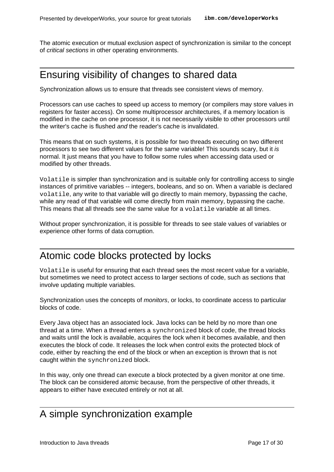The atomic execution or mutual exclusion aspect of synchronization is similar to the concept of critical sections in other operating environments.

## Ensuring visibility of changes to shared data

Synchronization allows us to ensure that threads see consistent views of memory.

Processors can use caches to speed up access to memory (or compilers may store values in registers for faster access). On some multiprocessor architectures, if a memory location is modified in the cache on one processor, it is not necessarily visible to other processors until the writer's cache is flushed and the reader's cache is invalidated.

This means that on such systems, it is possible for two threads executing on two different processors to see two different values for the same variable! This sounds scary, but it is normal. It just means that you have to follow some rules when accessing data used or modified by other threads.

Volatile is simpler than synchronization and is suitable only for controlling access to single instances of primitive variables -- integers, booleans, and so on. When a variable is declared volatile, any write to that variable will go directly to main memory, bypassing the cache, while any read of that variable will come directly from main memory, bypassing the cache. This means that all threads see the same value for a volatile variable at all times.

Without proper synchronization, it is possible for threads to see stale values of variables or experience other forms of data corruption.

#### Atomic code blocks protected by locks

Volatile is useful for ensuring that each thread sees the most recent value for a variable, but sometimes we need to protect access to larger sections of code, such as sections that involve updating multiple variables.

Synchronization uses the concepts of *monitors*, or locks, to coordinate access to particular blocks of code.

Every Java object has an associated lock. Java locks can be held by no more than one thread at a time. When a thread enters a synchronized block of code, the thread blocks and waits until the lock is available, acquires the lock when it becomes available, and then executes the block of code. It releases the lock when control exits the protected block of code, either by reaching the end of the block or when an exception is thrown that is not caught within the synchronized block.

In this way, only one thread can execute a block protected by a given monitor at one time. The block can be considered *atomic* because, from the perspective of other threads, it appears to either have executed entirely or not at all.

#### A simple synchronization example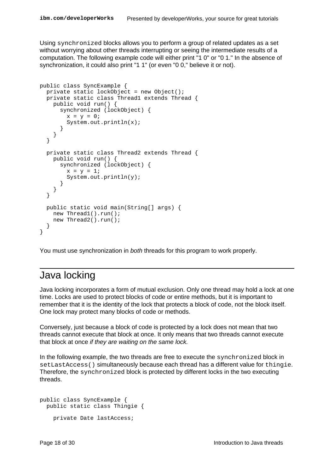Using synchronized blocks allows you to perform a group of related updates as a set without worrying about other threads interrupting or seeing the intermediate results of a computation. The following example code will either print "1 0" or "0 1." In the absence of synchronization, it could also print "1 1" (or even "0 0," believe it or not).

```
public class SyncExample {
  private static lockObject = new Object();
  private static class Thread1 extends Thread {
    public void run() {
      synchronized (lockObject) {
        x = y = 0;System.out.println(x);
      }
    }
  }
  private static class Thread2 extends Thread {
    public void run() {
      synchronized (lockObject) {
        x = y = 1;System.out.println(y);
      }
    }
  }
  public static void main(String[] args) {
    new Thread1().run();
    new Thread2().run();
  }
}
```
You must use synchronization in *both* threads for this program to work properly.

#### Java locking

Java locking incorporates a form of mutual exclusion. Only one thread may hold a lock at one time. Locks are used to protect blocks of code or entire methods, but it is important to remember that it is the identity of the lock that protects a block of code, not the block itself. One lock may protect many blocks of code or methods.

Conversely, just because a block of code is protected by a lock does not mean that two threads cannot execute that block at once. It only means that two threads cannot execute that block at once if they are waiting on the same lock.

In the following example, the two threads are free to execute the synchronized block in setLastAccess() simultaneously because each thread has a different value for thingie. Therefore, the synchronized block is protected by different locks in the two executing threads.

```
public class SyncExample {
  public static class Thingie {
    private Date lastAccess;
```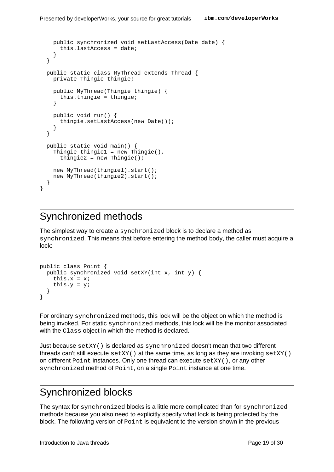```
public synchronized void setLastAccess(Date date) {
    this.lastAccess = date;
  }
}
public static class MyThread extends Thread {
  private Thingie thingie;
  public MyThread(Thingie thingie) {
    this.thingie = thingie;
  }
  public void run() {
    thingie.setLastAccess(new Date());
  }
}
public static void main() {
  Thingie thingie1 = new Thingie(),
    thingie2 = new Thingie();
  new MyThread(thingie1).start();
  new MyThread(thingie2).start();
}
```
## Synchronized methods

}

The simplest way to create a synchronized block is to declare a method as synchronized. This means that before entering the method body, the caller must acquire a lock:

```
public class Point {
  public synchronized void setXY(int x, int y) {
    this.x = x;
    this.y = y;
  }
}
```
For ordinary synchronized methods, this lock will be the object on which the method is being invoked. For static synchronized methods, this lock will be the monitor associated with the Class object in which the method is declared.

Just because setXY() is declared as synchronized doesn't mean that two different threads can't still execute  $setXY()$  at the same time, as long as they are invoking  $setXY()$ on different  $Point$  instances. Only one thread can execute  $setXY()$ , or any other synchronized method of Point, on a single Point instance at one time.

### Synchronized blocks

The syntax for synchronized blocks is a little more complicated than for synchronized methods because you also need to explicitly specify what lock is being protected by the block. The following version of  $Point$  is equivalent to the version shown in the previous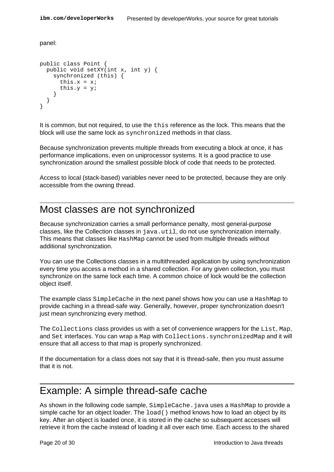panel:

```
public class Point {
 public void setXY(int x, int y) {
    synchronized (this) {
     this.x = x;
      this.y = y;
    }
  }
}
```
It is common, but not required, to use the this reference as the lock. This means that the block will use the same lock as synchronized methods in that class.

Because synchronization prevents multiple threads from executing a block at once, it has performance implications, even on uniprocessor systems. It is a good practice to use synchronization around the smallest possible block of code that needs to be protected.

Access to local (stack-based) variables never need to be protected, because they are only accessible from the owning thread.

#### Most classes are not synchronized

Because synchronization carries a small performance penalty, most general-purpose classes, like the Collection classes in java.util, do not use synchronization internally. This means that classes like HashMap cannot be used from multiple threads without additional synchronization.

You can use the Collections classes in a multithreaded application by using synchronization every time you access a method in a shared collection. For any given collection, you must synchronize on the same lock each time. A common choice of lock would be the collection object itself.

The example class SimpleCache in the next panel shows how you can use a HashMap to provide caching in a thread-safe way. Generally, however, proper synchronization doesn't just mean synchronizing every method.

The Collections class provides us with a set of convenience wrappers for the List, Map, and Set interfaces. You can wrap a Map with Collections.synchronizedMap and it will ensure that all access to that map is properly synchronized.

If the documentation for a class does not say that it is thread-safe, then you must assume that it is not.

#### Example: A simple thread-safe cache

As shown in the following code sample, SimpleCache. java uses a HashMap to provide a simple cache for an object loader. The  $load()$  method knows how to load an object by its key. After an object is loaded once, it is stored in the cache so subsequent accesses will retrieve it from the cache instead of loading it all over each time. Each access to the shared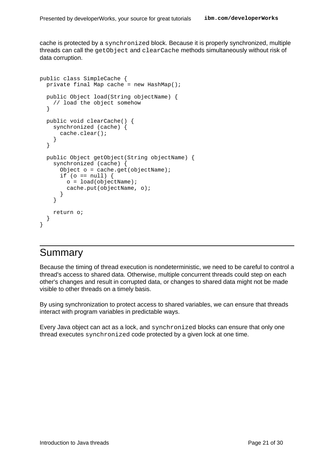cache is protected by a synchronized block. Because it is properly synchronized, multiple threads can call the getObject and clearCache methods simultaneously without risk of data corruption.

```
public class SimpleCache {
  private final Map cache = new HashMap();
 public Object load(String objectName) {
    // load the object somehow
  }
 public void clearCache() {
    synchronized (cache) {
     cache.clear();
    }
  }
 public Object getObject(String objectName) {
    synchronized (cache) {
      Object o = cache.get(objectName);if (o == null) {
       o = load(objectName);
       cache.put(objectName, o);
      }
    }
   return o;
  }
}
```
### Summary

Because the timing of thread execution is nondeterministic, we need to be careful to control a thread's access to shared data. Otherwise, multiple concurrent threads could step on each other's changes and result in corrupted data, or changes to shared data might not be made visible to other threads on a timely basis.

By using synchronization to protect access to shared variables, we can ensure that threads interact with program variables in predictable ways.

Every Java object can act as a lock, and synchronized blocks can ensure that only one thread executes synchronized code protected by a given lock at one time.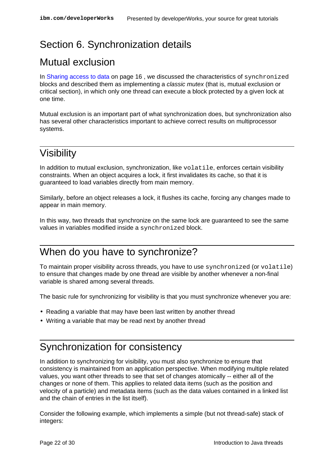## <span id="page-21-0"></span>Section 6. Synchronization details

## Mutual exclusion

In [Sharing access to data](#page-15-0) on page 16 , we discussed the characteristics of synchronized blocks and described them as implementing a *classic mutex* (that is, mutual exclusion or critical section), in which only one thread can execute a block protected by a given lock at one time.

Mutual exclusion is an important part of what synchronization does, but synchronization also has several other characteristics important to achieve correct results on multiprocessor systems.

## Visibility

In addition to mutual exclusion, synchronization, like  $v$ olatile, enforces certain visibility constraints. When an object acquires a lock, it first invalidates its cache, so that it is guaranteed to load variables directly from main memory.

Similarly, before an object releases a lock, it flushes its cache, forcing any changes made to appear in main memory.

In this way, two threads that synchronize on the same lock are guaranteed to see the same values in variables modified inside a synchronized block.

## When do you have to synchronize?

To maintain proper visibility across threads, you have to use synchronized (or volatile) to ensure that changes made by one thread are visible by another whenever a non-final variable is shared among several threads.

The basic rule for synchronizing for visibility is that you must synchronize whenever you are:

- Reading a variable that may have been last written by another thread
- Writing a variable that may be read next by another thread

## Synchronization for consistency

In addition to synchronizing for visibility, you must also synchronize to ensure that consistency is maintained from an application perspective. When modifying multiple related values, you want other threads to see that set of changes atomically -- either all of the changes or none of them. This applies to related data items (such as the position and velocity of a particle) and metadata items (such as the data values contained in a linked list and the chain of entries in the list itself).

Consider the following example, which implements a simple (but not thread-safe) stack of integers: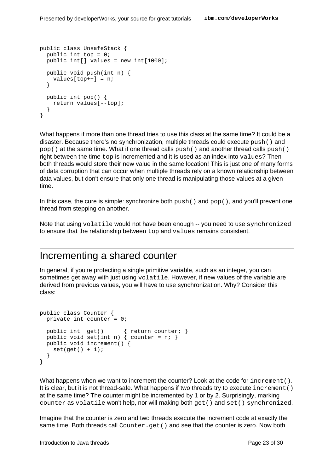```
public class UnsafeStack {
 public int top = 0;
  public int[] values = new int[1000];
  public void push(int n) {
    values[top++] = ni}
  public int pop() {
    return values[--top];
  }
}
```
What happens if more than one thread tries to use this class at the same time? It could be a disaster. Because there's no synchronization, multiple threads could execute push() and  $pop()$  at the same time. What if one thread calls  $push()$  and another thread calls  $push()$ right between the time top is incremented and it is used as an index into values? Then both threads would store their new value in the same location! This is just one of many forms of data corruption that can occur when multiple threads rely on a known relationship between data values, but don't ensure that only one thread is manipulating those values at a given time.

In this case, the cure is simple: synchronize both  $push()$  and  $pop()$ , and you'll prevent one thread from stepping on another.

Note that using volatile would not have been enough -- you need to use synchronized to ensure that the relationship between top and values remains consistent.

### Incrementing a shared counter

In general, if you're protecting a single primitive variable, such as an integer, you can sometimes get away with just using volatile. However, if new values of the variable are derived from previous values, you will have to use synchronization. Why? Consider this class:

```
public class Counter {
 private int counter = 0;
 public int get() { return counter; }
 public void set(int n) { counter = n; }
 public void increment() {
   set(get() + 1);}
}
```
What happens when we want to increment the counter? Look at the code for increment (). It is clear, but it is not thread-safe. What happens if two threads try to execute increment() at the same time? The counter might be incremented by 1 or by 2. Surprisingly, marking counter as volatile won't help, nor will making both get() and set() synchronized.

Imagine that the counter is zero and two threads execute the increment code at exactly the same time. Both threads call Counter.get() and see that the counter is zero. Now both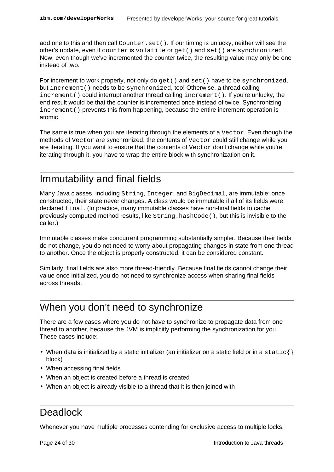add one to this and then call Counter.set (). If our timing is unlucky, neither will see the other's update, even if counter is volatile or get() and set() are synchronized. Now, even though we've incremented the counter twice, the resulting value may only be one instead of two.

For increment to work properly, not only do  $get()$  and  $set()$  have to be synchronized, but increment() needs to be synchronized, too! Otherwise, a thread calling increment() could interrupt another thread calling increment(). If you're unlucky, the end result would be that the counter is incremented once instead of twice. Synchronizing increment() prevents this from happening, because the entire increment operation is atomic.

The same is true when you are iterating through the elements of a Vector. Even though the methods of Vector are synchronized, the contents of Vector could still change while you are iterating. If you want to ensure that the contents of Vector don't change while you're iterating through it, you have to wrap the entire block with synchronization on it.

### Immutability and final fields

Many Java classes, including String, Integer, and BigDecimal, are immutable: once constructed, their state never changes. A class would be immutable if all of its fields were declared final. (In practice, many immutable classes have non-final fields to cache previously computed method results, like  $String.hashCode($ ), but this is invisible to the caller.)

Immutable classes make concurrent programming substantially simpler. Because their fields do not change, you do not need to worry about propagating changes in state from one thread to another. Once the object is properly constructed, it can be considered constant.

Similarly, final fields are also more thread-friendly. Because final fields cannot change their value once initialized, you do not need to synchronize access when sharing final fields across threads.

## When you don't need to synchronize

There are a few cases where you do not have to synchronize to propagate data from one thread to another, because the JVM is implicitly performing the synchronization for you. These cases include:

- When data is initialized by a static initializer (an initializer on a static field or in a static  $\{\}$ block)
- When accessing final fields
- When an object is created before a thread is created
- When an object is already visible to a thread that it is then joined with

#### Deadlock

Whenever you have multiple processes contending for exclusive access to multiple locks,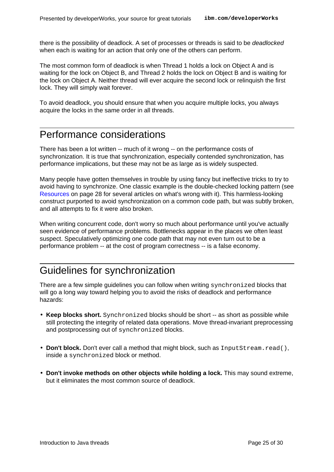there is the possibility of deadlock. A set of processes or threads is said to be deadlocked when each is waiting for an action that only one of the others can perform.

The most common form of deadlock is when Thread 1 holds a lock on Object A and is waiting for the lock on Object B, and Thread 2 holds the lock on Object B and is waiting for the lock on Object A. Neither thread will ever acquire the second lock or relinquish the first lock. They will simply wait forever.

To avoid deadlock, you should ensure that when you acquire multiple locks, you always acquire the locks in the same order in all threads.

#### Performance considerations

There has been a lot written -- much of it wrong -- on the performance costs of synchronization. It is true that synchronization, especially contended synchronization, has performance implications, but these may not be as large as is widely suspected.

Many people have gotten themselves in trouble by using fancy but ineffective tricks to try to avoid having to synchronize. One classic example is the double-checked locking pattern (see [Resources](#page-27-1) on page 28 for several articles on what's wrong with it). This harmless-looking construct purported to avoid synchronization on a common code path, but was subtly broken, and all attempts to fix it were also broken.

When writing concurrent code, don't worry so much about performance until you've actually seen evidence of performance problems. Bottlenecks appear in the places we often least suspect. Speculatively optimizing one code path that may not even turn out to be a performance problem -- at the cost of program correctness -- is a false economy.

## Guidelines for synchronization

There are a few simple guidelines you can follow when writing synchronized blocks that will go a long way toward helping you to avoid the risks of deadlock and performance hazards:

- Keep blocks short. Synchronized blocks should be short -- as short as possible while still protecting the integrity of related data operations. Move thread-invariant preprocessing and postprocessing out of synchronized blocks.
- Don't block. Don't ever call a method that might block, such as InputStream.read(), inside a synchronized block or method.
- **Don't invoke methods on other objects while holding a lock.** This may sound extreme, but it eliminates the most common source of deadlock.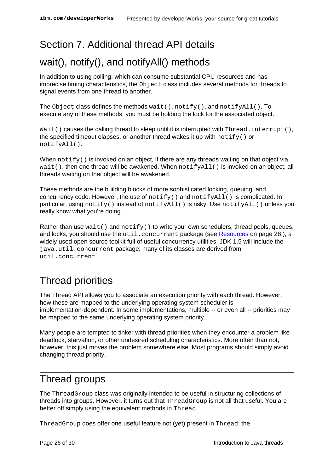## <span id="page-25-0"></span>Section 7. Additional thread API details

## wait(), notify(), and notifyAll() methods

In addition to using polling, which can consume substantial CPU resources and has imprecise timing characteristics, the  $Object$  class includes several methods for threads to signal events from one thread to another.

The Object class defines the methods wait(), notify(), and notifyAll(). To execute any of these methods, you must be holding the lock for the associated object.

Wait() causes the calling thread to sleep until it is interrupted with Thread.interrupt(), the specified timeout elapses, or another thread wakes it up with  $\text{notify}( )$  or notifyAll().

When  $\text{notify}(\cdot)$  is invoked on an object, if there are any threads waiting on that object via  $wait()$ , then one thread will be awakened. When  $notifyAll()$  is invoked on an object, all threads waiting on that object will be awakened.

These methods are the building blocks of more sophisticated locking, queuing, and concurrency code. However, the use of  $\text{notify}($ ) and  $\text{notifyAll}($  is complicated. In particular, using  $\text{notify}()$  instead of  $\text{notifyAll}()$  is risky. Use  $\text{notifyAll()}$  unless you really know what you're doing.

Rather than use wait() and  $notify()$  to write your own schedulers, thread pools, queues, and locks, you should use the  $util$ .concurrent package (see [Resources](#page-27-1) on page 28), a widely used open source toolkit full of useful concurrency utilities. JDK 1.5 will include the java.util.concurrent package; many of its classes are derived from util.concurrent.

### Thread priorities

The Thread API allows you to associate an execution priority with each thread. However, how these are mapped to the underlying operating system scheduler is implementation-dependent. In some implementations, multiple -- or even all -- priorities may be mapped to the same underlying operating system priority.

Many people are tempted to tinker with thread priorities when they encounter a problem like deadlock, starvation, or other undesired scheduling characteristics. More often than not, however, this just moves the problem somewhere else. Most programs should simply avoid changing thread priority.

### Thread groups

The ThreadGroup class was originally intended to be useful in structuring collections of threads into groups. However, it turns out that ThreadGroup is not all that useful. You are better off simply using the equivalent methods in Thread.

ThreadGroup does offer one useful feature not (yet) present in Thread: the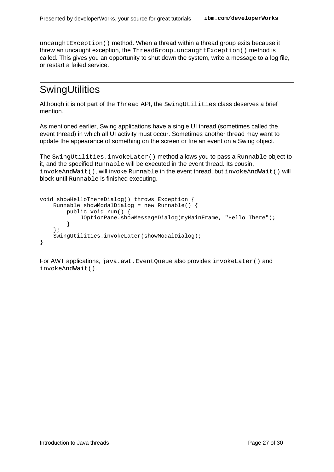uncaughtException() method. When a thread within a thread group exits because it threw an uncaught exception, the ThreadGroup.uncaughtException() method is called. This gives you an opportunity to shut down the system, write a message to a log file, or restart a failed service.

## **SwingUtilities**

Although it is not part of the Thread API, the SwingUtilities class deserves a brief mention.

As mentioned earlier, Swing applications have a single UI thread (sometimes called the event thread) in which all UI activity must occur. Sometimes another thread may want to update the appearance of something on the screen or fire an event on a Swing object.

The SwingUtilities.invokeLater() method allows you to pass a Runnable object to it, and the specified Runnable will be executed in the event thread. Its cousin, invokeAndWait(), will invoke Runnable in the event thread, but invokeAndWait() will block until Runnable is finished executing.

```
void showHelloThereDialog() throws Exception {
    Runnable showModalDialog = new Runnable() {
        public void run() {
            JOptionPane.showMessageDialog(myMainFrame, "Hello There");
        }
    };
    SwingUtilities.invokeLater(showModalDialog);
}
```
For AWT applications, java.awt.EventQueue also provides invokeLater() and invokeAndWait().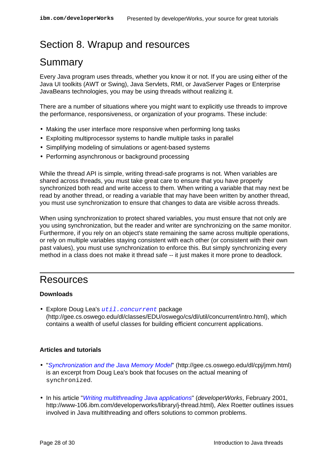## <span id="page-27-0"></span>Section 8. Wrapup and resources

## Summary

Every Java program uses threads, whether you know it or not. If you are using either of the Java UI toolkits (AWT or Swing), Java Servlets, RMI, or JavaServer Pages or Enterprise JavaBeans technologies, you may be using threads without realizing it.

There are a number of situations where you might want to explicitly use threads to improve the performance, responsiveness, or organization of your programs. These include:

- Making the user interface more responsive when performing long tasks
- Exploiting multiprocessor systems to handle multiple tasks in parallel
- Simplifying modeling of simulations or agent-based systems
- Performing asynchronous or background processing

While the thread API is simple, writing thread-safe programs is not. When variables are shared across threads, you must take great care to ensure that you have properly synchronized both read and write access to them. When writing a variable that may next be read by another thread, or reading a variable that may have been written by another thread, you must use synchronization to ensure that changes to data are visible across threads.

When using synchronization to protect shared variables, you must ensure that not only are you using synchronization, but the reader and writer are synchronizing on the same monitor. Furthermore, if you rely on an object's state remaining the same across multiple operations, or rely on multiple variables staying consistent with each other (or consistent with their own past values), you must use synchronization to enforce this. But simply synchronizing every method in a class does not make it thread safe -- it just makes it more prone to deadlock.

#### <span id="page-27-1"></span>Resources

#### **Downloads**

• Explore Doug Lea's [util.concurrent](http://gee.cs.oswego.edu/dl/classes/EDU/oswego/cs/dl/util/concurrent/intro.html) package (http://gee.cs.oswego.edu/dl/classes/EDU/oswego/cs/dl/util/concurrent/intro.html), which contains a wealth of useful classes for building efficient concurrent applications.

#### **Articles and tutorials**

- ["](http://gee.cs.oswego.edu/dl/cpj/jmm.html)[Synchronization and the Java Memory Mode](http://gee.cs.oswego.edu/dl/cpj/jmm.html)l" (http://gee.cs.oswego.edu/dl/cpj/jmm.html) is an excerpt from Doug Lea's book that focuses on the actual meaning of synchronized.
- In his article ["](http://www-106.ibm.com/developerworks/java/library/j-thread.html)*[Writing multithreading Java applications](http://www-106.ibm.com/developerworks/java/library/j-thread.html)*" (*developerWorks*, February 2001, http://www-106.ibm.com/developerworks/library/j-thread.html), Alex Roetter outlines issues involved in Java multithreading and offers solutions to common problems.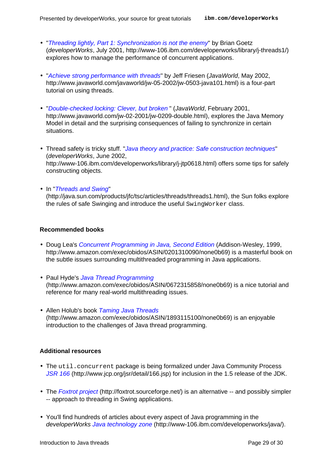- ["](http://www-106.ibm.com/developerworks/java/library/j-threads1/)[Threading lightly, Part 1: Synchronization is not the enemy](http://www-106.ibm.com/developerworks/java/library/j-threads1/)" by Brian Goetz (developerWorks, July 2001, http://www-106.ibm.com/developerworks/library/j-threads1/) explores how to manage the performance of concurrent applications.
- ["](http://www.javaworld.com/javaworld/jw-05-2002/jw-0503-java101.html)[Achieve strong performance with threads](http://www.javaworld.com/javaworld/jw-05-2002/jw-0503-java101.html)" by Jeff Friesen (JavaWorld, May 2002, http://www.javaworld.com/javaworld/jw-05-2002/jw-0503-java101.html) is a four-part tutorial on using threads.
- ["](http://www.javaworld.com/jw-02-2001/jw-0209-double.html)[Double-checked locking: Clever, but broken](http://www.javaworld.com/jw-02-2001/jw-0209-double.html) " (JavaWorld, February 2001, http://www.javaworld.com/jw-02-2001/jw-0209-double.html), explores the Java Memory Model in detail and the surprising consequences of failing to synchronize in certain situations.
- Thread safety is tricky stuff[. "](http://www-106.ibm.com/developerworks/java/library/j-jtp0618.html)[Java theory and practice: Safe construction techniques](http://www-106.ibm.com/developerworks/java/library/j-jtp0618.html)" (developerWorks, June 2002, http://www-106.ibm.com/developerworks/library/j-jtp0618.html) offers some tips for safely constructing objects.
- I[n "](http://java.sun.com/products/jfc/tsc/articles/threads/threads1.html)[Threads and Swing](http://java.sun.com/products/jfc/tsc/articles/threads/threads1.html)" (http://java.sun.com/products/jfc/tsc/articles/threads/threads1.html), the Sun folks explore the rules of safe Swinging and introduce the useful SwingWorker class.

#### **Recommended books**

- Doug Lea's [Concurrent Programming in Java, Second Edition](http://www.amazon.com/exec/obidos/ASIN/0201310090/none0b69) (Addison-Wesley, 1999, http://www.amazon.com/exec/obidos/ASIN/0201310090/none0b69) is a masterful book on the subtle issues surrounding multithreaded programming in Java applications.
- Paul Hyde's [Java Thread Programming](http://www.amazon.com/exec/obidos/ASIN/0672315858/none0b69) (http://www.amazon.com/exec/obidos/ASIN/0672315858/none0b69) is a nice tutorial and reference for many real-world multithreading issues.
- Allen Holub's book [Taming Java Threads](http://www.amazon.com/exec/obidos/ASIN/1893115100/none0b69) (http://www.amazon.com/exec/obidos/ASIN/1893115100/none0b69) is an enjoyable introduction to the challenges of Java thread programming.

#### **Additional resources**

- The util.concurrent package is being formalized under Java Community Process [JSR 166](http://www.jcp.org/jsr/detail/166.jsp) (http://www.jcp.org/jsr/detail/166.jsp) for inclusion in the 1.5 release of the JDK.
- The [Foxtrot projec](http://foxtrot.sourceforge.net/)t (http://foxtrot.sourceforge.net/) is an alternative -- and possibly simpler -- approach to threading in Swing applications.
- You'll find hundreds of articles about every aspect of Java programming in the developerWorks [Java technology zone](http://www-106.ibm.com/developerworks/java/) (http://www-106.ibm.com/developerworks/java/).